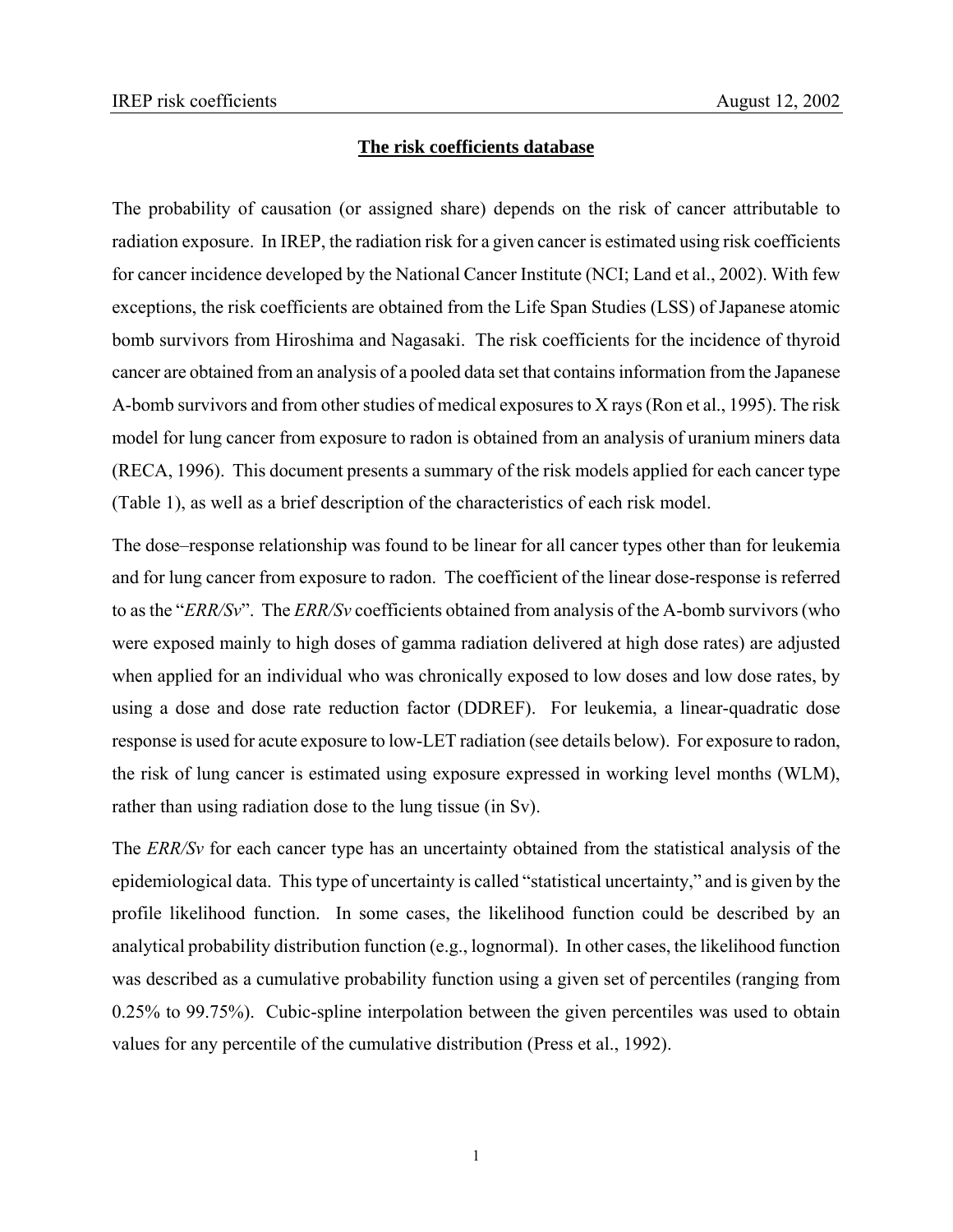#### **The risk coefficients database**

The probability of causation (or assigned share) depends on the risk of cancer attributable to radiation exposure. In IREP, the radiation risk for a given cancer is estimated using risk coefficients for cancer incidence developed by the National Cancer Institute (NCI; Land et al., 2002). With few exceptions, the risk coefficients are obtained from the Life Span Studies (LSS) of Japanese atomic bomb survivors from Hiroshima and Nagasaki. The risk coefficients for the incidence of thyroid cancer are obtained from an analysis of a pooled data set that contains information from the Japanese A-bomb survivors and from other studies of medical exposures to X rays (Ron et al., 1995). The risk model for lung cancer from exposure to radon is obtained from an analysis of uranium miners data (RECA, 1996). This document presents a summary of the risk models applied for each cancer type (Table 1), as well as a brief description of the characteristics of each risk model.

The dose–response relationship was found to be linear for all cancer types other than for leukemia and for lung cancer from exposure to radon. The coefficient of the linear dose-response is referred to as the "*ERR/Sv*". The *ERR/Sv* coefficients obtained from analysis of the A-bomb survivors (who were exposed mainly to high doses of gamma radiation delivered at high dose rates) are adjusted when applied for an individual who was chronically exposed to low doses and low dose rates, by using a dose and dose rate reduction factor (DDREF). For leukemia, a linear-quadratic dose response is used for acute exposure to low-LET radiation (see details below). For exposure to radon, the risk of lung cancer is estimated using exposure expressed in working level months (WLM), rather than using radiation dose to the lung tissue (in Sv).

The *ERR/Sv* for each cancer type has an uncertainty obtained from the statistical analysis of the epidemiological data. This type of uncertainty is called "statistical uncertainty," and is given by the profile likelihood function. In some cases, the likelihood function could be described by an analytical probability distribution function (e.g., lognormal). In other cases, the likelihood function was described as a cumulative probability function using a given set of percentiles (ranging from 0.25% to 99.75%). Cubic-spline interpolation between the given percentiles was used to obtain values for any percentile of the cumulative distribution (Press et al., 1992).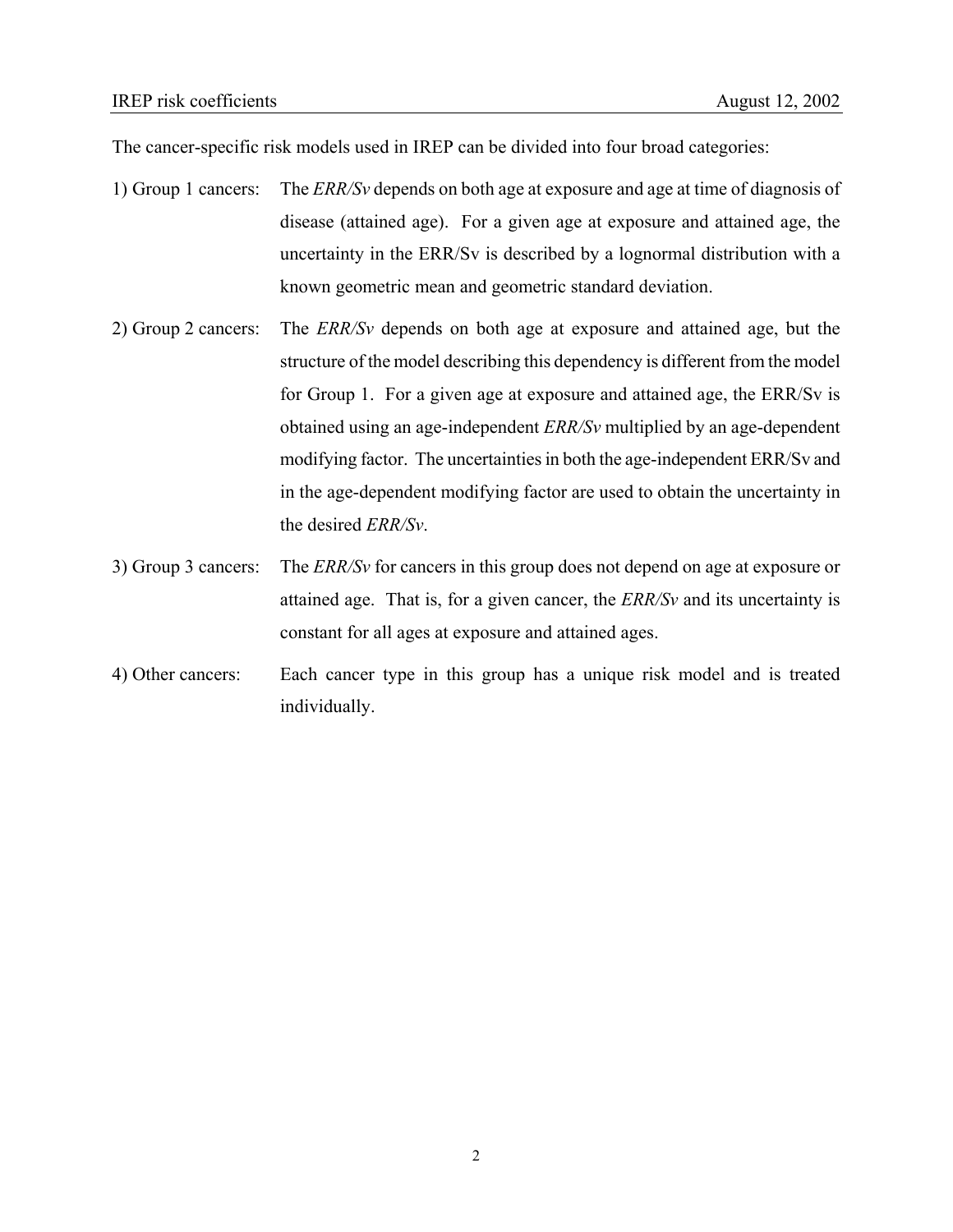The cancer-specific risk models used in IREP can be divided into four broad categories:

- 1) Group 1 cancers: The *ERR/Sv* depends on both age at exposure and age at time of diagnosis of disease (attained age). For a given age at exposure and attained age, the uncertainty in the ERR/Sv is described by a lognormal distribution with a known geometric mean and geometric standard deviation.
- 2) Group 2 cancers: The *ERR/Sv* depends on both age at exposure and attained age, but the structure of the model describing this dependency is different from the model for Group 1. For a given age at exposure and attained age, the ERR/Sv is obtained using an age-independent *ERR/Sv* multiplied by an age-dependent modifying factor. The uncertainties in both the age-independent ERR/Sv and in the age-dependent modifying factor are used to obtain the uncertainty in the desired *ERR/Sv*.
- 3) Group 3 cancers: The *ERR/Sv* for cancers in this group does not depend on age at exposure or attained age. That is, for a given cancer, the *ERR/Sv* and its uncertainty is constant for all ages at exposure and attained ages.
- 4) Other cancers: Each cancer type in this group has a unique risk model and is treated individually.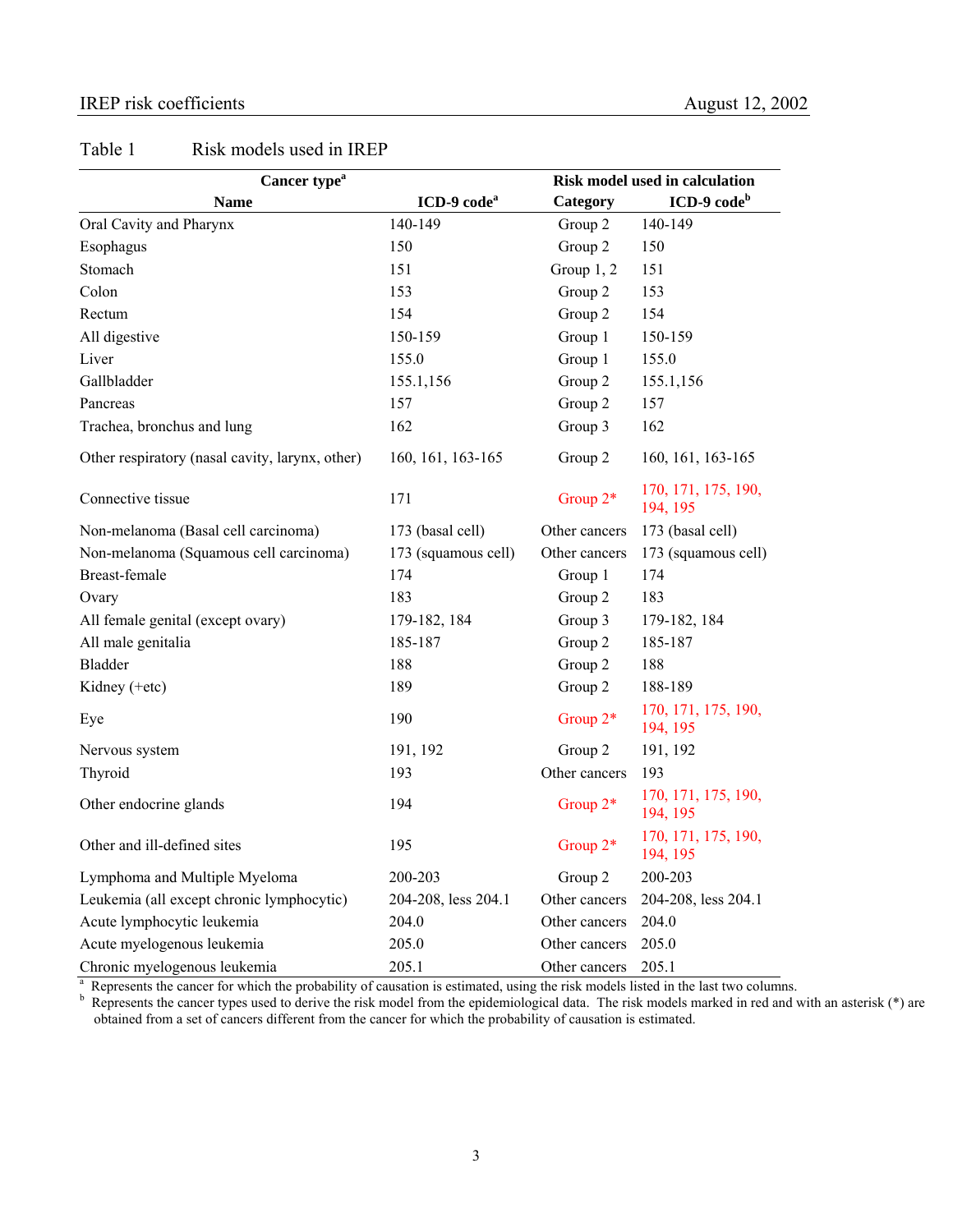#### IREP risk coefficients August 12, 2002

# Table 1 Risk models used in IREP

| Cancer type <sup>a</sup>                        | <b>Risk model used in calculation</b> |               |                                 |
|-------------------------------------------------|---------------------------------------|---------------|---------------------------------|
| <b>Name</b>                                     | ICD-9 code <sup>a</sup>               | Category      | $ICD-9 codeb$                   |
| Oral Cavity and Pharynx                         | 140-149                               | Group 2       | 140-149                         |
| Esophagus                                       | 150                                   | Group 2       | 150                             |
| Stomach                                         | 151                                   | Group $1, 2$  | 151                             |
| Colon                                           | 153                                   | Group 2       | 153                             |
| Rectum                                          | 154                                   | Group 2       | 154                             |
| All digestive                                   | 150-159                               | Group 1       | 150-159                         |
| Liver                                           | 155.0                                 | Group 1       | 155.0                           |
| Gallbladder                                     | 155.1,156                             | Group 2       | 155.1,156                       |
| Pancreas                                        | 157                                   | Group 2       | 157                             |
| Trachea, bronchus and lung                      | 162                                   | Group 3       | 162                             |
| Other respiratory (nasal cavity, larynx, other) | 160, 161, 163-165                     | Group 2       | 160, 161, 163-165               |
| Connective tissue                               | 171                                   | Group $2*$    | 170, 171, 175, 190,<br>194, 195 |
| Non-melanoma (Basal cell carcinoma)             | 173 (basal cell)                      | Other cancers | 173 (basal cell)                |
| Non-melanoma (Squamous cell carcinoma)          | 173 (squamous cell)                   | Other cancers | 173 (squamous cell)             |
| Breast-female                                   | 174                                   | Group 1       | 174                             |
| Ovary                                           | 183                                   | Group 2       | 183                             |
| All female genital (except ovary)               | 179-182, 184                          | Group 3       | 179-182, 184                    |
| All male genitalia                              | 185-187                               | Group 2       | 185-187                         |
| <b>Bladder</b>                                  | 188                                   | Group 2       | 188                             |
| Kidney (+etc)                                   | 189                                   | Group 2       | 188-189                         |
| Eye                                             | 190                                   | Group $2*$    | 170, 171, 175, 190,<br>194, 195 |
| Nervous system                                  | 191, 192                              | Group 2       | 191, 192                        |
| Thyroid                                         | 193                                   | Other cancers | 193                             |
| Other endocrine glands                          | 194                                   | Group 2*      | 170, 171, 175, 190,<br>194, 195 |
| Other and ill-defined sites                     | 195                                   | Group 2*      | 170, 171, 175, 190,<br>194, 195 |
| Lymphoma and Multiple Myeloma                   | 200-203                               | Group 2       | 200-203                         |
| Leukemia (all except chronic lymphocytic)       | 204-208, less 204.1                   | Other cancers | 204-208, less 204.1             |
| Acute lymphocytic leukemia                      | 204.0                                 | Other cancers | 204.0                           |
| Acute myelogenous leukemia                      | 205.0                                 | Other cancers | 205.0                           |
| Chronic myelogenous leukemia                    | 205.1                                 | Other cancers | 205.1                           |

Chronic myelogenous leukemia 205.1 Other cancers 205.1<br>
<sup>a</sup> Represents the cancer for which the probability of causation is estimated, using the risk models listed in the last two columns.<br>
<sup>b</sup> Represents the cancer types obtained from a set of cancers different from the cancer for which the probability of causation is estimated.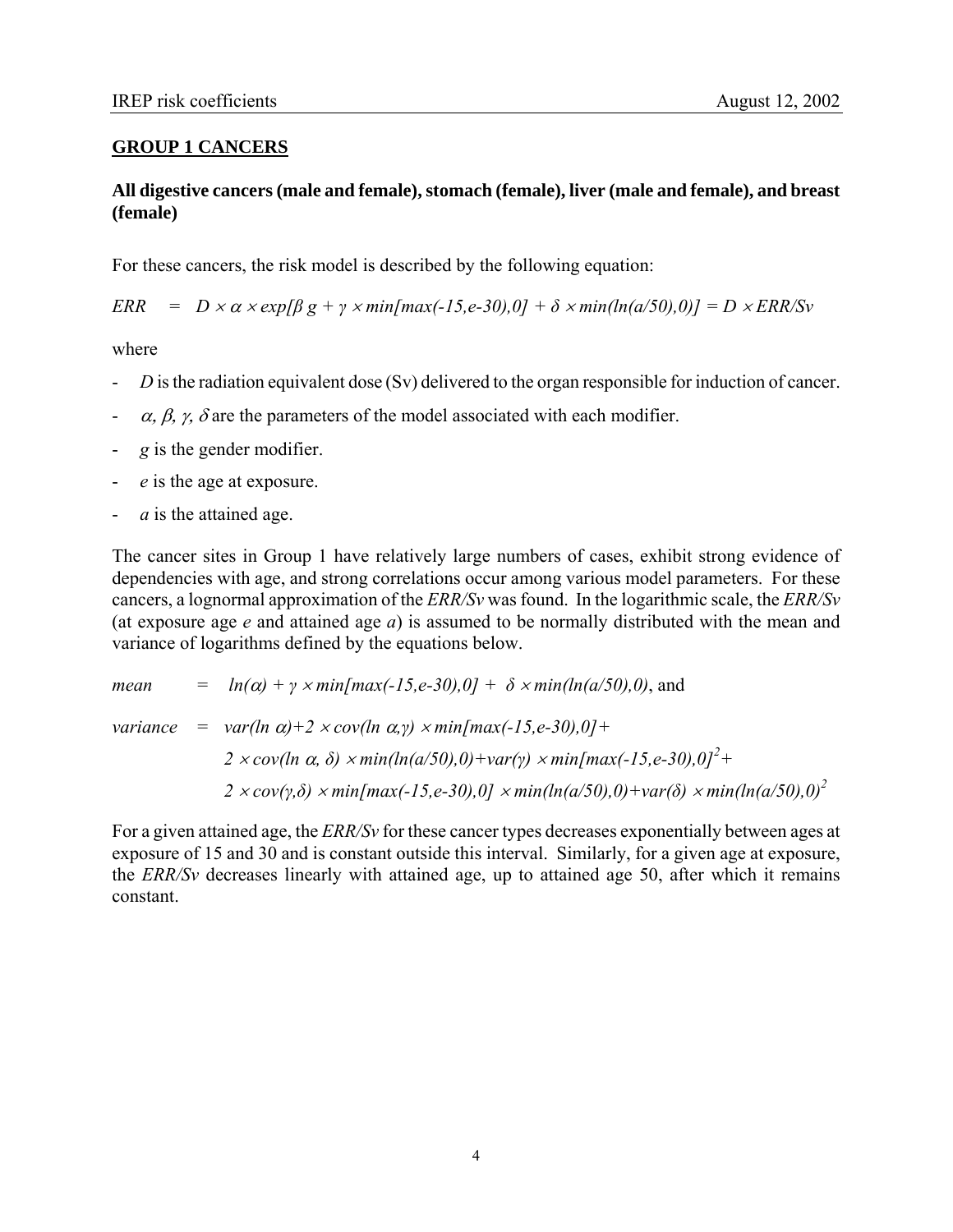## **GROUP 1 CANCERS**

## **All digestive cancers (male and female), stomach (female), liver (male and female), and breast (female)**

For these cancers, the risk model is described by the following equation:

 $\text{ERR} = D \times \alpha \times \exp[\beta g + \gamma \times \min[\max(-15, e-30), 0] + \delta \times \min(\ln(a/50), 0)] = D \times \text{ERR/Sv}$ 

where

- *D* is the radiation equivalent dose (Sv) delivered to the organ responsible for induction of cancer.
- $\alpha$ ,  $\beta$ ,  $\gamma$ ,  $\delta$  are the parameters of the model associated with each modifier.
- *g* is the gender modifier.
- *e* is the age at exposure.
- a is the attained age.

The cancer sites in Group 1 have relatively large numbers of cases, exhibit strong evidence of dependencies with age, and strong correlations occur among various model parameters. For these cancers, a lognormal approximation of the *ERR/Sv* was found. In the logarithmic scale, the *ERR/Sv*  (at exposure age *e* and attained age *a*) is assumed to be normally distributed with the mean and variance of logarithms defined by the equations below.

*mean* =  $ln(\alpha) + \gamma \times min(max(-15, e-30), 0) + \delta \times min(ln(a/50), 0)$ , and *variance* = *var(ln*  $\alpha$ *)+2 × cov(ln*  $\alpha$ *,<i>y)* × min[max(-15,e-30),0]+ *2* ×*cov(ln α, δ)* × *min(ln(a/50),0)* + *var(y)* × *min[max(-15,e-30),0]*<sup>2</sup> + *2* × *cov(γ,δ)* × *min[max(-15,e-30),0]* × *min(ln(a/50),0)+var(δ)* × *min(ln(a/50),0)2* 

For a given attained age, the *ERR/Sv* for these cancer types decreases exponentially between ages at exposure of 15 and 30 and is constant outside this interval. Similarly, for a given age at exposure, the *ERR/Sv* decreases linearly with attained age, up to attained age 50, after which it remains constant.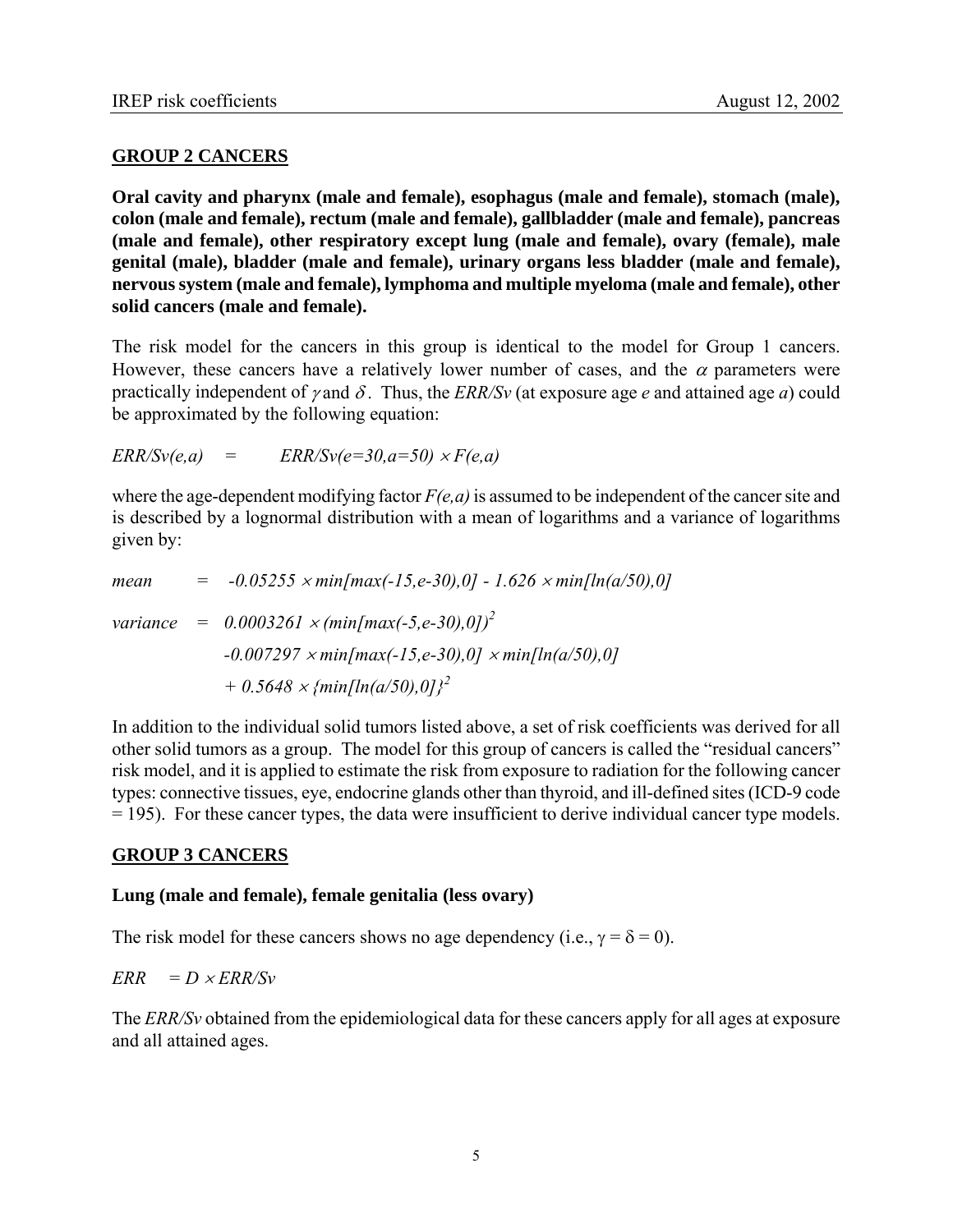## **GROUP 2 CANCERS**

**Oral cavity and pharynx (male and female), esophagus (male and female), stomach (male), colon (male and female), rectum (male and female), gallbladder (male and female), pancreas (male and female), other respiratory except lung (male and female), ovary (female), male genital (male), bladder (male and female), urinary organs less bladder (male and female), nervous system (male and female), lymphoma and multiple myeloma (male and female), other solid cancers (male and female).** 

The risk model for the cancers in this group is identical to the model for Group 1 cancers. However, these cancers have a relatively lower number of cases, and the  $\alpha$  parameters were practically independent of *γ* and  $\delta$ . Thus, the *ERR/Sv* (at exposure age *e* and attained age *a*) could be approximated by the following equation:

 $ERR/Sv(e,a) = ERR/Sv(e=30.a=50) \times F(e,a)$ 

where the age-dependent modifying factor *F(e,a)* is assumed to be independent of the cancer site and is described by a lognormal distribution with a mean of logarithms and a variance of logarithms given by:

| mean | $=$ -0.05255 $\times min/max(-15, e-30), 0] - 1.626 \times min[ln(a/50), 0]$ |
|------|------------------------------------------------------------------------------|
|      | variance = $0.0003261 \times (min(max(-5,e-30),0))^2$                        |
|      | $-0.007297 \times min(max(-15, e-30), 0] \times min[ln(a/50), 0]$            |
|      | $+$ 0.5648 $\times$ {min[ln(a/50),0]} <sup>2</sup>                           |

In addition to the individual solid tumors listed above, a set of risk coefficients was derived for all other solid tumors as a group. The model for this group of cancers is called the "residual cancers" risk model, and it is applied to estimate the risk from exposure to radiation for the following cancer types: connective tissues, eye, endocrine glands other than thyroid, and ill-defined sites (ICD-9 code = 195). For these cancer types, the data were insufficient to derive individual cancer type models.

## **GROUP 3 CANCERS**

## **Lung (male and female), female genitalia (less ovary)**

The risk model for these cancers shows no age dependency (i.e.,  $\gamma = \delta = 0$ ).

 $ERR = D \times ERR/Sv$ 

The *ERR/Sv* obtained from the epidemiological data for these cancers apply for all ages at exposure and all attained ages.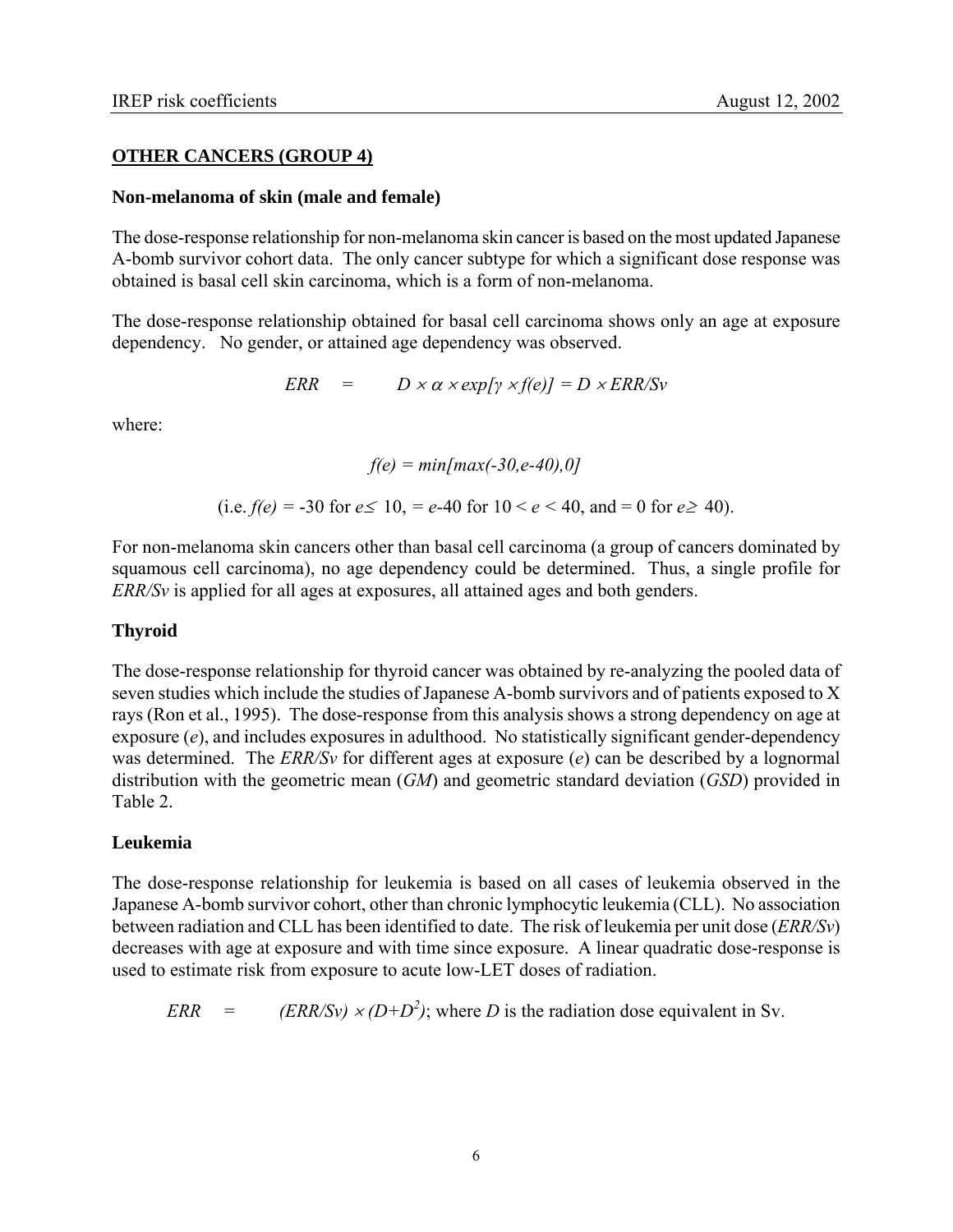### **OTHER CANCERS (GROUP 4)**

#### **Non-melanoma of skin (male and female)**

The dose-response relationship for non-melanoma skin cancer is based on the most updated Japanese A-bomb survivor cohort data. The only cancer subtype for which a significant dose response was obtained is basal cell skin carcinoma, which is a form of non-melanoma.

The dose-response relationship obtained for basal cell carcinoma shows only an age at exposure dependency. No gender, or attained age dependency was observed.

$$
ERR = D \times \alpha \times exp[\gamma \times f(e)] = D \times ERR/Sv
$$

where:

$$
f(e) = min(max(-30, e-40), 0]
$$

(i.e. 
$$
f(e) = -30
$$
 for  $e \le 10$ ,  $= e - 40$  for  $10 < e < 40$ , and  $= 0$  for  $e \ge 40$ ).

For non-melanoma skin cancers other than basal cell carcinoma (a group of cancers dominated by squamous cell carcinoma), no age dependency could be determined. Thus, a single profile for *ERR/Sv* is applied for all ages at exposures, all attained ages and both genders.

## **Thyroid**

The dose-response relationship for thyroid cancer was obtained by re-analyzing the pooled data of seven studies which include the studies of Japanese A-bomb survivors and of patients exposed to X rays (Ron et al., 1995). The dose-response from this analysis shows a strong dependency on age at exposure (*e*), and includes exposures in adulthood. No statistically significant gender-dependency was determined. The *ERR/Sv* for different ages at exposure (*e*) can be described by a lognormal distribution with the geometric mean (*GM*) and geometric standard deviation (*GSD*) provided in Table 2.

## **Leukemia**

The dose-response relationship for leukemia is based on all cases of leukemia observed in the Japanese A-bomb survivor cohort, other than chronic lymphocytic leukemia (CLL). No association between radiation and CLL has been identified to date. The risk of leukemia per unit dose (*ERR/Sv*) decreases with age at exposure and with time since exposure. A linear quadratic dose-response is used to estimate risk from exposure to acute low-LET doses of radiation.

$$
ERR = (ERR/Sv) \times (D+D^2)
$$
; where *D* is the radiation dose equivalent in Sv.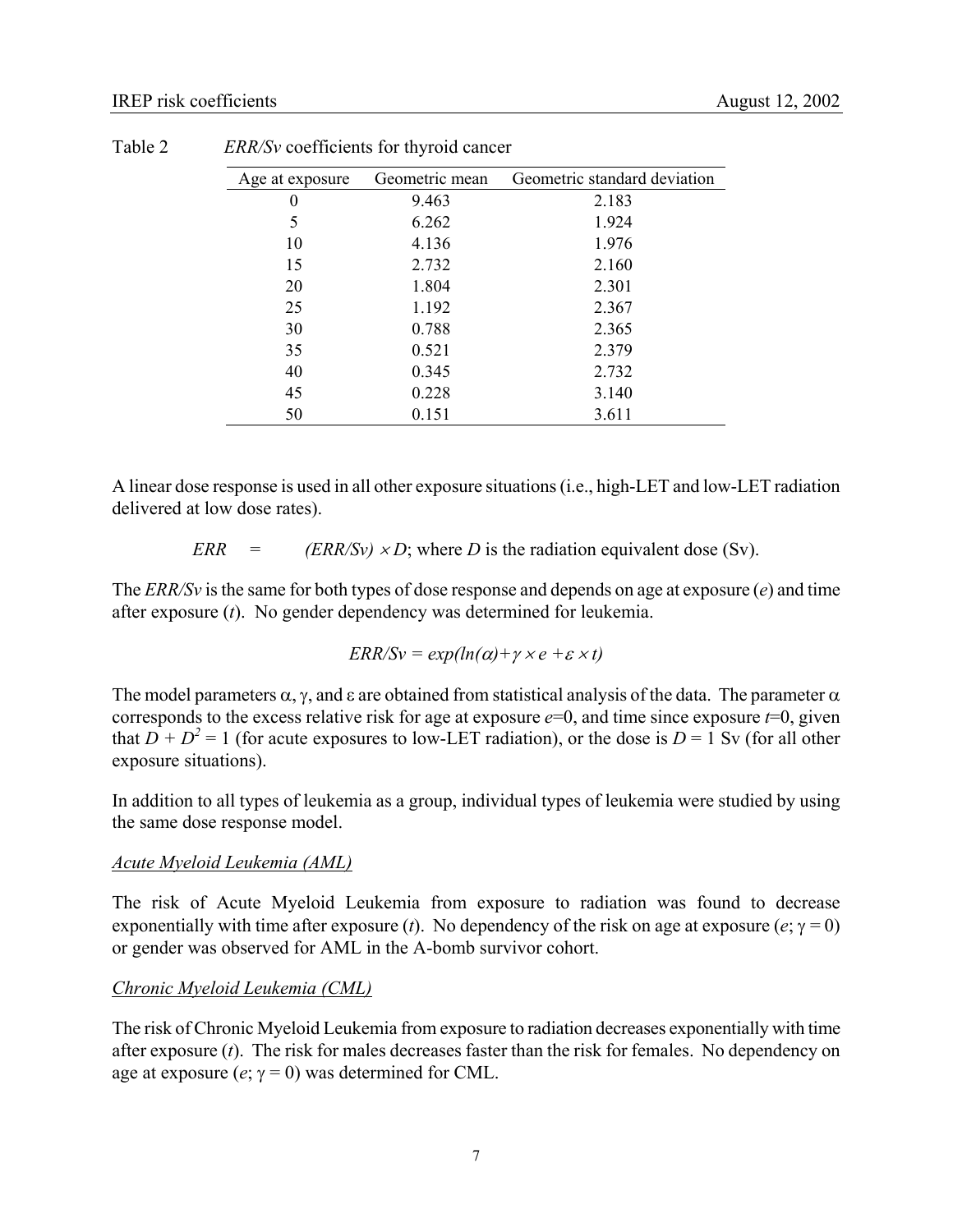| Age at exposure | Geometric mean | Geometric standard deviation |
|-----------------|----------------|------------------------------|
| 0               | 9.463          | 2.183                        |
| 5               | 6.262          | 1.924                        |
| 10              | 4.136          | 1.976                        |
| 15              | 2.732          | 2.160                        |
| 20              | 1.804          | 2.301                        |
| 25              | 1.192          | 2.367                        |
| 30              | 0.788          | 2.365                        |
| 35              | 0.521          | 2.379                        |
| 40              | 0.345          | 2.732                        |
| 45              | 0.228          | 3.140                        |
| 50              | 0.151          | 3.611                        |

Table 2 *ERR/Sv* coefficients for thyroid cancer

A linear dose response is used in all other exposure situations (i.e., high-LET and low-LET radiation delivered at low dose rates).

*ERR* =  $\angle$  *(ERR/Sv) × D*; where *D* is the radiation equivalent dose (Sv).

The *ERR/Sv* is the same for both types of dose response and depends on age at exposure (*e*) and time after exposure (*t*). No gender dependency was determined for leukemia.

$$
ERR/Sv = exp(ln(\alpha) + \gamma \times e + \varepsilon \times t)
$$

The model parameters  $\alpha$ ,  $\gamma$ , and  $\varepsilon$  are obtained from statistical analysis of the data. The parameter  $\alpha$ corresponds to the excess relative risk for age at exposure  $e=0$ , and time since exposure  $t=0$ , given that  $D + D^2 = 1$  (for acute exposures to low-LET radiation), or the dose is  $D = 1$  Sv (for all other exposure situations).

In addition to all types of leukemia as a group, individual types of leukemia were studied by using the same dose response model.

#### *Acute Myeloid Leukemia (AML)*

The risk of Acute Myeloid Leukemia from exposure to radiation was found to decrease exponentially with time after exposure (*t*). No dependency of the risk on age at exposure (*e*;  $\gamma = 0$ ) or gender was observed for AML in the A-bomb survivor cohort.

## *Chronic Myeloid Leukemia (CML)*

The risk of Chronic Myeloid Leukemia from exposure to radiation decreases exponentially with time after exposure (*t*). The risk for males decreases faster than the risk for females. No dependency on age at exposure  $(e; \gamma = 0)$  was determined for CML.